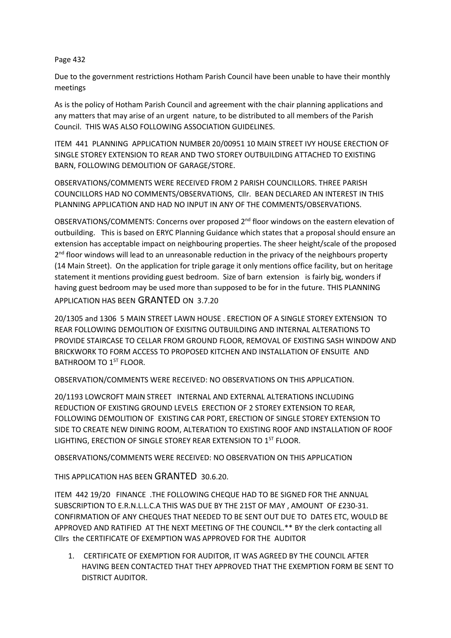## Page 432

Due to the government restrictions Hotham Parish Council have been unable to have their monthly meetings

As is the policy of Hotham Parish Council and agreement with the chair planning applications and any matters that may arise of an urgent nature, to be distributed to all members of the Parish Council. THIS WAS ALSO FOLLOWING ASSOCIATION GUIDELINES.

ITEM 441 PLANNING APPLICATION NUMBER 20/00951 10 MAIN STREET IVY HOUSE ERECTION OF SINGLE STOREY EXTENSION TO REAR AND TWO STOREY OUTBUILDING ATTACHED TO EXISTING BARN, FOLLOWING DEMOLITION OF GARAGE/STORE.

OBSERVATIONS/COMMENTS WERE RECEIVED FROM 2 PARISH COUNCILLORS. THREE PARISH COUNCILLORS HAD NO COMMENTS/OBSERVATIONS, Cllr. BEAN DECLARED AN INTEREST IN THIS PLANNING APPLICATION AND HAD NO INPUT IN ANY OF THE COMMENTS/OBSERVATIONS.

OBSERVATIONS/COMMENTS: Concerns over proposed 2<sup>nd</sup> floor windows on the eastern elevation of outbuilding. This is based on ERYC Planning Guidance which states that a proposal should ensure an extension has acceptable impact on neighbouring properties. The sheer height/scale of the proposed 2<sup>nd</sup> floor windows will lead to an unreasonable reduction in the privacy of the neighbours property (14 Main Street). On the application for triple garage it only mentions office facility, but on heritage statement it mentions providing guest bedroom. Size of barn extension is fairly big, wonders if having guest bedroom may be used more than supposed to be for in the future. THIS PLANNING

APPLICATION HAS BEEN GRANTED ON 3.7.20

20/1305 and 1306 5 MAIN STREET LAWN HOUSE . ERECTION OF A SINGLE STOREY EXTENSION TO REAR FOLLOWING DEMOLITION OF EXISITNG OUTBUILDING AND INTERNAL ALTERATIONS TO PROVIDE STAIRCASE TO CELLAR FROM GROUND FLOOR, REMOVAL OF EXISTING SASH WINDOW AND BRICKWORK TO FORM ACCESS TO PROPOSED KITCHEN AND INSTALLATION OF ENSUITE AND BATHROOM TO 1<sup>ST</sup> FLOOR.

OBSERVATION/COMMENTS WERE RECEIVED: NO OBSERVATIONS ON THIS APPLICATION.

20/1193 LOWCROFT MAIN STREET INTERNAL AND EXTERNAL ALTERATIONS INCLUDING REDUCTION OF EXISTING GROUND LEVELS ERECTION OF 2 STOREY EXTENSION TO REAR, FOLLOWING DEMOLITION OF EXISTING CAR PORT, ERECTION OF SINGLE STOREY EXTENSION TO SIDE TO CREATE NEW DINING ROOM, ALTERATION TO EXISTING ROOF AND INSTALLATION OF ROOF LIGHTING, ERECTION OF SINGLE STOREY REAR EXTENSION TO 1<sup>ST</sup> FLOOR.

OBSERVATIONS/COMMENTS WERE RECEIVED: NO OBSERVATION ON THIS APPLICATION

THIS APPLICATION HAS BEEN GRANTED 30.6.20.

ITEM 442 19/20 FINANCE .THE FOLLOWING CHEQUE HAD TO BE SIGNED FOR THE ANNUAL SUBSCRIPTION TO E.R.N.L.L.C.A THIS WAS DUE BY THE 21ST OF MAY , AMOUNT OF £230-31. CONFIRMATION OF ANY CHEQUES THAT NEEDED TO BE SENT OUT DUE TO DATES ETC, WOULD BE APPROVED AND RATIFIED AT THE NEXT MEETING OF THE COUNCIL.\*\* BY the clerk contacting all Cllrs the CERTIFICATE OF EXEMPTION WAS APPROVED FOR THE AUDITOR

1. CERTIFICATE OF EXEMPTION FOR AUDITOR, IT WAS AGREED BY THE COUNCIL AFTER HAVING BEEN CONTACTED THAT THEY APPROVED THAT THE EXEMPTION FORM BE SENT TO DISTRICT AUDITOR.